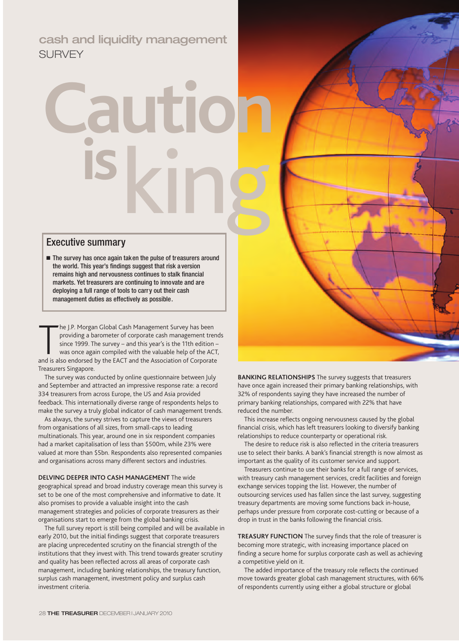cash and liquidity management SURVEY

# **Cartic** king **is**

## Executive summary

**■** The survey has once again taken the pulse of treasurers around the world. This year's findings suggest that risk aversion remains high and nervousness continues to stalk financial markets. Yet treasurers are continuing to innovate and are deploying a full range of tools to carry out their cash management duties as effectively as possible.

The J.P. Morgan Global Cash Management Survey has been<br>providing a barometer of corporate cash management tren<br>since 1999. The survey – and this year's is the 11th edition<br>was once again compiled with the valuable help of he J.P. Morgan Global Cash Management Survey has been providing a barometer of corporate cash management trends since 1999. The survey – and this year's is the 11th edition – was once again compiled with the valuable help of the ACT, Treasurers Singapore.

The survey was conducted by online questionnaire between July and September and attracted an impressive response rate: a record 334 treasurers from across Europe, the US and Asia provided feedback. This internationally diverse range of respondents helps to make the survey a truly global indicator of cash management trends.

As always, the survey strives to capture the views of treasurers from organisations of all sizes, from small-caps to leading multinationals. This year, around one in six respondent companies had a market capitalisation of less than \$500m, while 23% were valued at more than \$5bn. Respondents also represented companies and organisations across many different sectors and industries.

**DELVING DEEPER INTO CASH MANAGEMENT** The wide geographical spread and broad industry coverage mean this survey is set to be one of the most comprehensive and informative to date. It also promises to provide a valuable insight into the cash management strategies and policies of corporate treasurers as their organisations start to emerge from the global banking crisis.

The full survey report is still being compiled and will be available in early 2010, but the initial findings suggest that corporate treasurers are placing unprecedented scrutiny on the financial strength of the institutions that they invest with. This trend towards greater scrutiny and quality has been reflected across all areas of corporate cash management, including banking relationships, the treasury function, surplus cash management, investment policy and surplus cash investment criteria.

**BANKING RELATIONSHIPS** The survey suggests that treasurers have once again increased their primary banking relationships, with 32% of respondents saying they have increased the number of primary banking relationships, compared with 22% that have reduced the number.

This increase reflects ongoing nervousness caused by the global financial crisis, which has left treasurers looking to diversify banking relationships to reduce counterparty or operational risk.

The desire to reduce risk is also reflected in the criteria treasurers use to select their banks. A bank's financial strength is now almost as important as the quality of its customer service and support.

Treasurers continue to use their banks for a full range of services, with treasury cash management services, credit facilities and foreign exchange services topping the list. However, the number of outsourcing services used has fallen since the last survey, suggesting treasury departments are moving some functions back in-house, perhaps under pressure from corporate cost-cutting or because of a drop in trust in the banks following the financial crisis.

**TREASURY FUNCTION** The survey finds that the role of treasurer is becoming more strategic, with increasing importance placed on finding a secure home for surplus corporate cash as well as achieving a competitive yield on it.

The added importance of the treasury role reflects the continued move towards greater global cash management structures, with 66% of respondents currently using either a global structure or global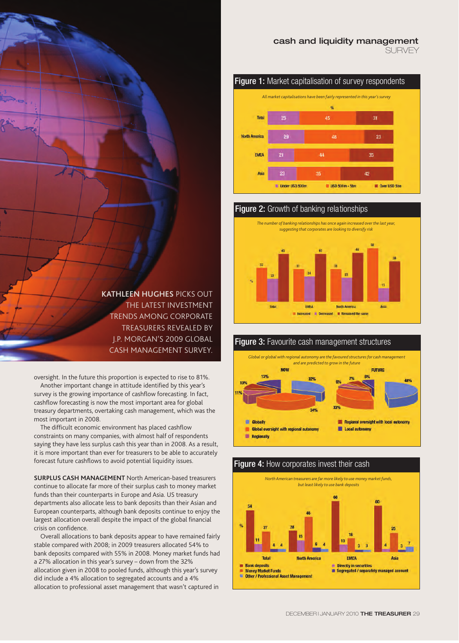



# **Figure 2:** Growth of banking relationships



#### **Figure 3:** Favourite cash management structures *Global or global with regional autonomy are the favoured structures for cash management and are predicted to grow in the future* **NOW FUTURE** 13% **694** 33% 34% **Globally** Regional oversight with local autonomy **Global oversight with regional autonomy Local autonomy Regionally**

### **Figure 4:** How corporates invest their cash



**KATHLEEN HUGHES** PICKS OUT THE LATEST INVESTMENT TRENDS AMONG CORPORATE TREASURERS REVEALED BY J.P. MORGAN'S 2009 GLOBAL CASH MANAGEMENT SURVEY.

oversight. In the future this proportion is expected to rise to 81%. Another important change in attitude identified by this year's survey is the growing importance of cashflow forecasting. In fact, cashflow forecasting is now the most important area for global treasury departments, overtaking cash management, which was the most important in 2008.

The difficult economic environment has placed cashflow constraints on many companies, with almost half of respondents saying they have less surplus cash this year than in 2008. As a result, it is more important than ever for treasurers to be able to accurately forecast future cashflows to avoid potential liquidity issues.

**SURPLUS CASH MANAGEMENT** North American-based treasurers continue to allocate far more of their surplus cash to money market funds than their counterparts in Europe and Asia. US treasury departments also allocate less to bank deposits than their Asian and European counterparts, although bank deposits continue to enjoy the largest allocation overall despite the impact of the global financial crisis on confidence.

Overall allocations to bank deposits appear to have remained fairly stable compared with 2008; in 2009 treasurers allocated 54% to bank deposits compared with 55% in 2008. Money market funds had a 27% allocation in this year's survey – down from the 32% allocation given in 2008 to pooled funds, although this year's survey did include a 4% allocation to segregated accounts and a 4% allocation to professional asset management that wasn't captured in